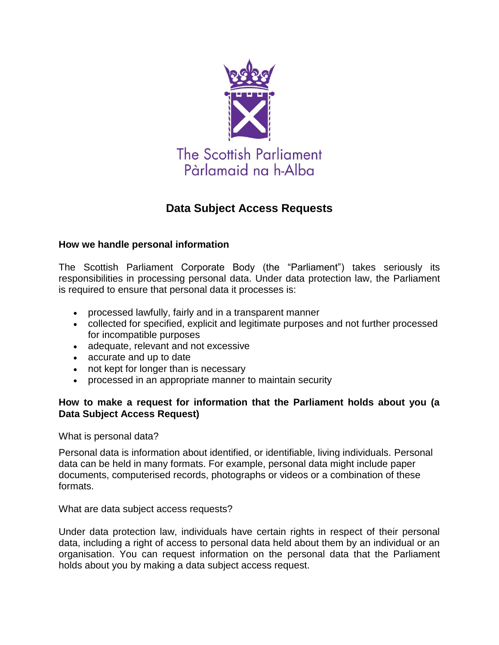

## **Data Subject Access Requests**

## **How we handle personal information**

The Scottish Parliament Corporate Body (the "Parliament") takes seriously its responsibilities in processing personal data. Under data protection law, the Parliament is required to ensure that personal data it processes is:

- processed lawfully, fairly and in a transparent manner
- collected for specified, explicit and legitimate purposes and not further processed for incompatible purposes
- adequate, relevant and not excessive
- accurate and up to date
- not kept for longer than is necessary
- processed in an appropriate manner to maintain security

## **How to make a request for information that the Parliament holds about you (a Data Subject Access Request)**

What is personal data?

Personal data is information about identified, or identifiable, living individuals. Personal data can be held in many formats. For example, personal data might include paper documents, computerised records, photographs or videos or a combination of these formats.

What are data subject access requests?

Under data protection law, individuals have certain rights in respect of their personal data, including a right of access to personal data held about them by an individual or an organisation. You can request information on the personal data that the Parliament holds about you by making a data subject access request.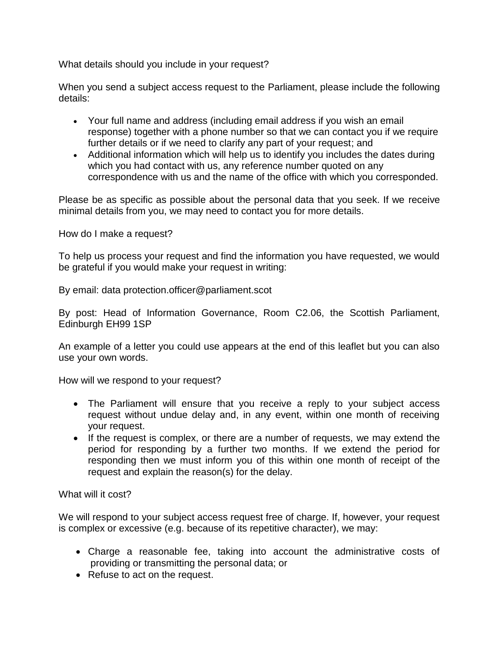What details should you include in your request?

When you send a subject access request to the Parliament, please include the following details:

- Your full name and address (including email address if you wish an email response) together with a phone number so that we can contact you if we require further details or if we need to clarify any part of your request; and
- Additional information which will help us to identify you includes the dates during which you had contact with us, any reference number quoted on any correspondence with us and the name of the office with which you corresponded.

Please be as specific as possible about the personal data that you seek. If we receive minimal details from you, we may need to contact you for more details.

How do I make a request?

To help us process your request and find the information you have requested, we would be grateful if you would make your request in writing:

By email: data protection.officer@parliament.scot

By post: Head of Information Governance, Room C2.06, the Scottish Parliament, Edinburgh EH99 1SP

An example of a letter you could use appears at the end of this leaflet but you can also use your own words.

How will we respond to your request?

- The Parliament will ensure that you receive a reply to your subject access request without undue delay and, in any event, within one month of receiving your request.
- If the request is complex, or there are a number of requests, we may extend the period for responding by a further two months. If we extend the period for responding then we must inform you of this within one month of receipt of the request and explain the reason(s) for the delay.

What will it cost?

We will respond to your subject access request free of charge. If, however, your request is complex or excessive (e.g. because of its repetitive character), we may:

- Charge a reasonable fee, taking into account the administrative costs of providing or transmitting the personal data; or
- Refuse to act on the request.